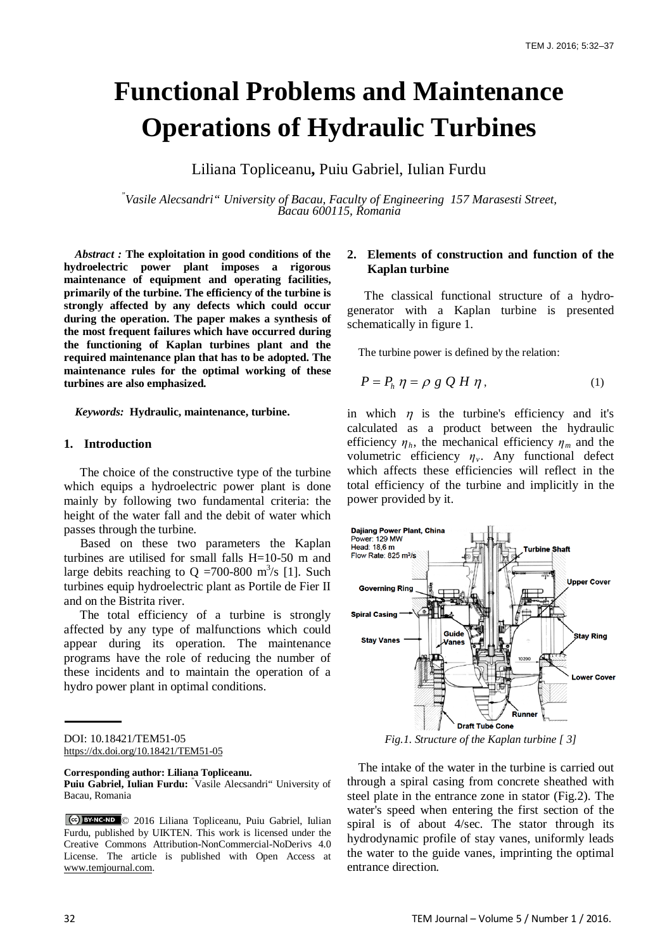# **Functional Problems and Maintenance Operations of Hydraulic Turbines**

Liliana Topliceanu**,** Puiu Gabriel, Iulian Furdu

*" Vasile Alecsandri" University of Bacau, Faculty of Engineering 157 Marasesti Street, Bacau 600115, Romania*

*Abstract :* **The exploitation in good conditions of the hydroelectric power plant imposes a rigorous maintenance of equipment and operating facilities, primarily of the turbine. The efficiency of the turbine is strongly affected by any defects which could occur during the operation. The paper makes a synthesis of the most frequent failures which have occurred during the functioning of Kaplan turbines plant and the required maintenance plan that has to be adopted. The maintenance rules for the optimal working of these turbines are also emphasized.** 

*Keywords:* **Hydraulic, maintenance, turbine.**

#### **1. Introduction**

The choice of the constructive type of the turbine which equips a hydroelectric power plant is done mainly by following two fundamental criteria: the height of the water fall and the debit of water which passes through the turbine.

Based on these two parameters the Kaplan turbines are utilised for small falls H=10-50 m and large debits reaching to Q =700-800 m<sup>3</sup>/s [1]. Such turbines equip hydroelectric plant as Portile de Fier II and on the Bistrita river.

The total efficiency of a turbine is strongly affected by any type of malfunctions which could appear during its operation. The maintenance programs have the role of reducing the number of these incidents and to maintain the operation of a hydro power plant in optimal conditions.

## **2. Elements of construction and function of the Kaplan turbine**

 The classical functional structure of a hydrogenerator with a Kaplan turbine is presented schematically in figure 1.

The turbine power is defined by the relation:

$$
P = P_h \eta = \rho g Q H \eta, \qquad (1)
$$

in which  $\eta$  is the turbine's efficiency and it's calculated as a product between the hydraulic efficiency  $\eta_h$ , the mechanical efficiency  $\eta_m$  and the volumetric efficiency *ηv*. Any functional defect which affects these efficiencies will reflect in the total efficiency of the turbine and implicitly in the power provided by it.



*Fig.1. Structure of the Kaplan turbine [ 3]*

The intake of the water in the turbine is carried out through a spiral casing from concrete sheathed with steel plate in the entrance zone in stator (Fig.2). The water's speed when entering the first section of the spiral is of about 4/sec. The stator through its hydrodynamic profile of stay vanes, uniformly leads the water to the guide vanes, imprinting the optimal entrance direction*.*

DOI: 10.18421/TEM51-05 <https://dx.doi.org/10.18421/TEM51-05>

**Corresponding author: Liliana Topliceanu.** Puiu Gabriel, Iulian Furdu: <sup>"</sup>Vasile Alecsandri" University of Bacau, Romania

<sup>© 2016</sup> Liliana Topliceanu, Puiu Gabriel, Iulian Furdu, published by UIKTEN. This work is licensed under the Creative Commons Attribution-NonCommercial-NoDerivs 4.0 License. The article is published with Open Access at [www.temjournal.com.](http://www.temjournal.com/)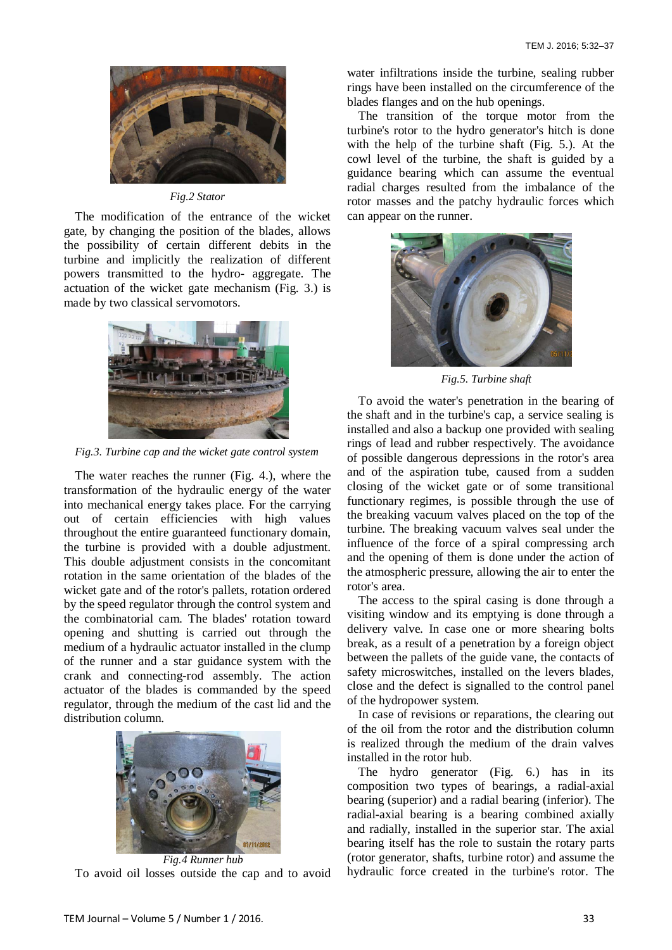

#### *Fig.2 Stator*

The modification of the entrance of the wicket gate, by changing the position of the blades, allows the possibility of certain different debits in the turbine and implicitly the realization of different powers transmitted to the hydro- aggregate. The actuation of the wicket gate mechanism (Fig. 3.) is made by two classical servomotors.



*Fig.3. Turbine cap and the wicket gate control system*

The water reaches the runner (Fig. 4.), where the transformation of the hydraulic energy of the water into mechanical energy takes place. For the carrying out of certain efficiencies with high values throughout the entire guaranteed functionary domain, the turbine is provided with a double adjustment. This double adjustment consists in the concomitant rotation in the same orientation of the blades of the wicket gate and of the rotor's pallets, rotation ordered by the speed regulator through the control system and the combinatorial cam. The blades' rotation toward opening and shutting is carried out through the medium of a hydraulic actuator installed in the clump of the runner and a star guidance system with the crank and connecting-rod assembly. The action actuator of the blades is commanded by the speed regulator, through the medium of the cast lid and the distribution column.



*Fig.4 Runner hub* To avoid oil losses outside the cap and to avoid

water infiltrations inside the turbine, sealing rubber rings have been installed on the circumference of the blades flanges and on the hub openings.

The transition of the torque motor from the turbine's rotor to the hydro generator's hitch is done with the help of the turbine shaft (Fig. 5.). At the cowl level of the turbine, the shaft is guided by a guidance bearing which can assume the eventual radial charges resulted from the imbalance of the rotor masses and the patchy hydraulic forces which can appear on the runner.



*Fig.5. Turbine shaft*

To avoid the water's penetration in the bearing of the shaft and in the turbine's cap, a service sealing is installed and also a backup one provided with sealing rings of lead and rubber respectively. The avoidance of possible dangerous depressions in the rotor's area and of the aspiration tube, caused from a sudden closing of the wicket gate or of some transitional functionary regimes, is possible through the use of the breaking vacuum valves placed on the top of the turbine. The breaking vacuum valves seal under the influence of the force of a spiral compressing arch and the opening of them is done under the action of the atmospheric pressure, allowing the air to enter the rotor's area.

The access to the spiral casing is done through a visiting window and its emptying is done through a delivery valve. In case one or more shearing bolts break, as a result of a penetration by a foreign object between the pallets of the guide vane, the contacts of safety microswitches, installed on the levers blades, close and the defect is signalled to the control panel of the hydropower system.

In case of revisions or reparations, the clearing out of the oil from the rotor and the distribution column is realized through the medium of the drain valves installed in the rotor hub.

The hydro generator (Fig. 6.) has in its composition two types of bearings, a radial-axial bearing (superior) and a radial bearing (inferior). The radial-axial bearing is a bearing combined axially and radially, installed in the superior star. The axial bearing itself has the role to sustain the rotary parts (rotor generator, shafts, turbine rotor) and assume the hydraulic force created in the turbine's rotor. The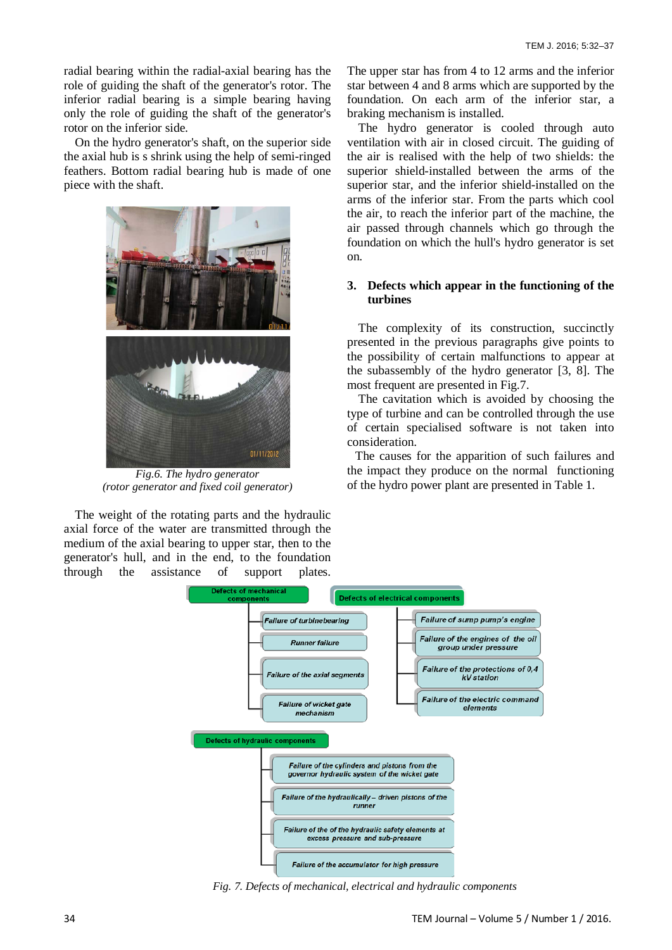radial bearing within the radial-axial bearing has the role of guiding the shaft of the generator's rotor. The inferior radial bearing is a simple bearing having only the role of guiding the shaft of the generator's rotor on the inferior side.

On the hydro generator's shaft, on the superior side the axial hub is s shrink using the help of semi-ringed feathers. Bottom radial bearing hub is made of one piece with the shaft.



*Fig.6. The hydro generator (rotor generator and fixed coil generator)*

The weight of the rotating parts and the hydraulic axial force of the water are transmitted through the medium of the axial bearing to upper star, then to the generator's hull, and in the end, to the foundation through the assistance of support plates. The upper star has from 4 to 12 arms and the inferior star between 4 and 8 arms which are supported by the foundation. On each arm of the inferior star, a braking mechanism is installed.

The hydro generator is cooled through auto ventilation with air in closed circuit. The guiding of the air is realised with the help of two shields: the superior shield-installed between the arms of the superior star, and the inferior shield-installed on the arms of the inferior star. From the parts which cool the air, to reach the inferior part of the machine, the air passed through channels which go through the foundation on which the hull's hydro generator is set on.

### **3. Defects which appear in the functioning of the turbines**

The complexity of its construction, succinctly presented in the previous paragraphs give points to the possibility of certain malfunctions to appear at the subassembly of the hydro generator [3, 8]. The most frequent are presented in Fig.7.

The cavitation which is avoided by choosing the type of turbine and can be controlled through the use of certain specialised software is not taken into consideration.

The causes for the apparition of such failures and the impact they produce on the normal functioning of the hydro power plant are presented in Table 1.



*Fig. 7. Defects of mechanical, electrical and hydraulic components*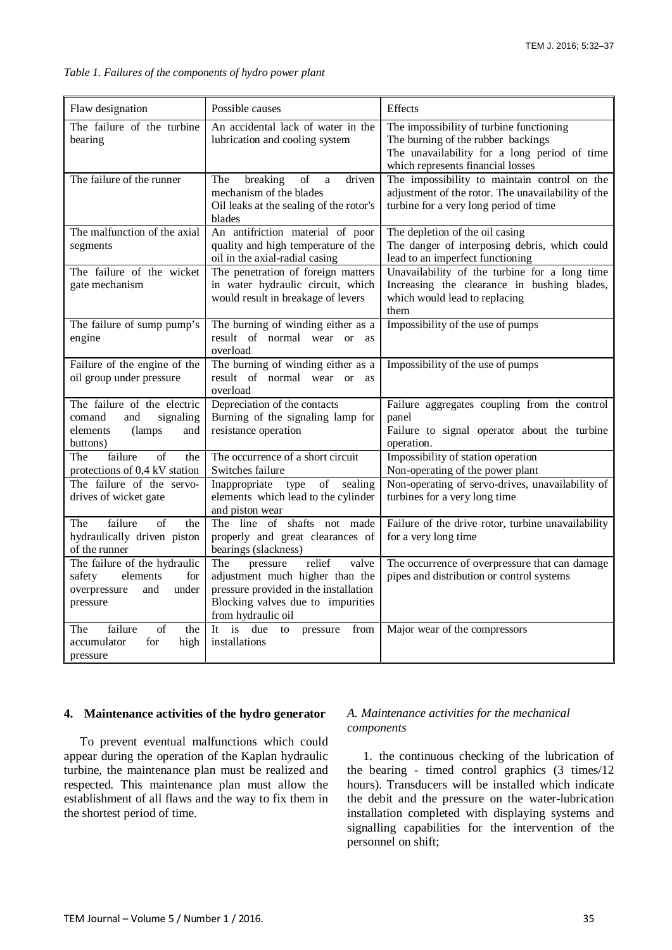| Flaw designation                                                                                      | Possible causes                                                                                                                                                           | Effects                                                                                                                                                             |
|-------------------------------------------------------------------------------------------------------|---------------------------------------------------------------------------------------------------------------------------------------------------------------------------|---------------------------------------------------------------------------------------------------------------------------------------------------------------------|
| The failure of the turbine<br>bearing                                                                 | An accidental lack of water in the<br>lubrication and cooling system                                                                                                      | The impossibility of turbine functioning<br>The burning of the rubber backings<br>The unavailability for a long period of time<br>which represents financial losses |
| The failure of the runner                                                                             | breaking<br>driven<br>The<br>of<br>a<br>mechanism of the blades<br>Oil leaks at the sealing of the rotor's<br>blades                                                      | The impossibility to maintain control on the<br>adjustment of the rotor. The unavailability of the<br>turbine for a very long period of time                        |
| The malfunction of the axial<br>segments                                                              | An antifriction material of poor<br>quality and high temperature of the<br>oil in the axial-radial casing                                                                 | The depletion of the oil casing<br>The danger of interposing debris, which could<br>lead to an imperfect functioning                                                |
| The failure of the wicket<br>gate mechanism                                                           | The penetration of foreign matters<br>in water hydraulic circuit, which<br>would result in breakage of levers                                                             | Unavailability of the turbine for a long time<br>Increasing the clearance in bushing blades,<br>which would lead to replacing<br>them                               |
| The failure of sump pump's<br>engine                                                                  | The burning of winding either as a<br>result of normal wear or<br>as<br>overload                                                                                          | Impossibility of the use of pumps                                                                                                                                   |
| Failure of the engine of the<br>oil group under pressure                                              | The burning of winding either as a<br>result of normal wear or<br>as<br>overload                                                                                          | Impossibility of the use of pumps                                                                                                                                   |
| The failure of the electric<br>comand<br>signaling<br>and<br>elements<br>(lamps)<br>and<br>buttons)   | Depreciation of the contacts<br>Burning of the signaling lamp for<br>resistance operation                                                                                 | Failure aggregates coupling from the control<br>panel<br>Failure to signal operator about the turbine<br>operation.                                                 |
| failure<br>$\overline{\text{of}}$<br>The<br>the<br>protections of 0,4 kV station                      | The occurrence of a short circuit<br>Switches failure                                                                                                                     | Impossibility of station operation<br>Non-operating of the power plant                                                                                              |
| The failure of the servo-<br>drives of wicket gate                                                    | Inappropriate type<br>of sealing<br>elements which lead to the cylinder<br>and piston wear                                                                                | Non-operating of servo-drives, unavailability of<br>turbines for a very long time                                                                                   |
| failure<br>of<br>The<br>the<br>hydraulically driven piston<br>of the runner                           | The line of shafts not made<br>properly and great clearances of<br>bearings (slackness)                                                                                   | Failure of the drive rotor, turbine unavailability<br>for a very long time                                                                                          |
| The failure of the hydraulic<br>elements<br>safety<br>for<br>under<br>overpressure<br>and<br>pressure | relief<br>valve<br>The<br>pressure<br>adjustment much higher than the<br>pressure provided in the installation<br>Blocking valves due to impurities<br>from hydraulic oil | The occurrence of overpressure that can damage<br>pipes and distribution or control systems                                                                         |
| failure<br>of<br>The<br>the<br>accumulator<br>for<br>high<br>pressure                                 | It<br>is<br>due<br>from<br>to<br>pressure<br>installations                                                                                                                | Major wear of the compressors                                                                                                                                       |

*Table 1. Failures of the components of hydro power plant* 

#### **4. Maintenance activities of the hydro generator**

To prevent eventual malfunctions which could appear during the operation of the Kaplan hydraulic turbine, the maintenance plan must be realized and respected. This maintenance plan must allow the establishment of all flaws and the way to fix them in the shortest period of time.

# *A. Maintenance activities for the mechanical components*

1. the continuous checking of the lubrication of the bearing - timed control graphics (3 times/12 hours). Transducers will be installed which indicate the debit and the pressure on the water-lubrication installation completed with displaying systems and signalling capabilities for the intervention of the personnel on shift;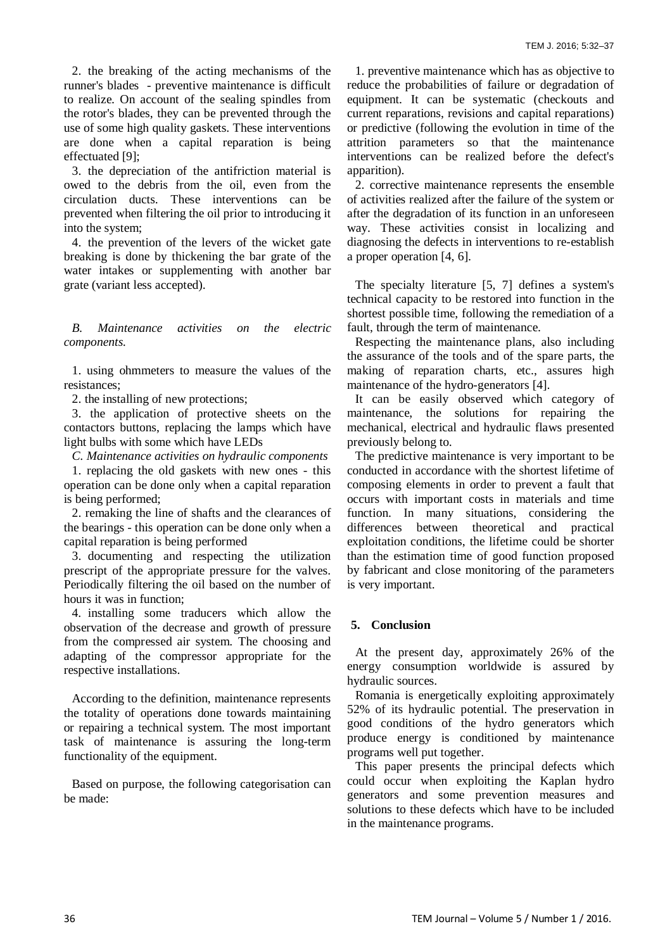2. the breaking of the acting mechanisms of the runner's blades - preventive maintenance is difficult to realize. On account of the sealing spindles from the rotor's blades, they can be prevented through the use of some high quality gaskets. These interventions are done when a capital reparation is being effectuated [9];

3. the depreciation of the antifriction material is owed to the debris from the oil, even from the circulation ducts. These interventions can be prevented when filtering the oil prior to introducing it into the system;

4. the prevention of the levers of the wicket gate breaking is done by thickening the bar grate of the water intakes or supplementing with another bar grate (variant less accepted).

*B. Maintenance activities on the electric components.*

1. using ohmmeters to measure the values of the resistances;

2. the installing of new protections;

3. the application of protective sheets on the contactors buttons, replacing the lamps which have light bulbs with some which have LEDs

*C. Maintenance activities on hydraulic components*

1. replacing the old gaskets with new ones - this operation can be done only when a capital reparation is being performed;

2. remaking the line of shafts and the clearances of the bearings - this operation can be done only when a capital reparation is being performed

3. documenting and respecting the utilization prescript of the appropriate pressure for the valves. Periodically filtering the oil based on the number of hours it was in function;

4. installing some traducers which allow the observation of the decrease and growth of pressure from the compressed air system. The choosing and adapting of the compressor appropriate for the respective installations.

According to the definition, maintenance represents the totality of operations done towards maintaining or repairing a technical system. The most important task of maintenance is assuring the long-term functionality of the equipment.

Based on purpose, the following categorisation can be made:

1. preventive maintenance which has as objective to reduce the probabilities of failure or degradation of equipment. It can be systematic (checkouts and current reparations, revisions and capital reparations) or predictive (following the evolution in time of the attrition parameters so that the maintenance interventions can be realized before the defect's apparition).

2. corrective maintenance represents the ensemble of activities realized after the failure of the system or after the degradation of its function in an unforeseen way. These activities consist in localizing and diagnosing the defects in interventions to re-establish a proper operation [4, 6].

The specialty literature [5, 7] defines a system's technical capacity to be restored into function in the shortest possible time, following the remediation of a fault, through the term of maintenance.

Respecting the maintenance plans, also including the assurance of the tools and of the spare parts, the making of reparation charts, etc., assures high maintenance of the hydro-generators [4].

It can be easily observed which category of maintenance, the solutions for repairing the mechanical, electrical and hydraulic flaws presented previously belong to.

The predictive maintenance is very important to be conducted in accordance with the shortest lifetime of composing elements in order to prevent a fault that occurs with important costs in materials and time function. In many situations, considering the differences between theoretical and practical exploitation conditions, the lifetime could be shorter than the estimation time of good function proposed by fabricant and close monitoring of the parameters is very important.

# **5. Conclusion**

At the present day, approximately 26% of the energy consumption worldwide is assured by hydraulic sources.

Romania is energetically exploiting approximately 52% of its hydraulic potential. The preservation in good conditions of the hydro generators which produce energy is conditioned by maintenance programs well put together.

This paper presents the principal defects which could occur when exploiting the Kaplan hydro generators and some prevention measures and solutions to these defects which have to be included in the maintenance programs.